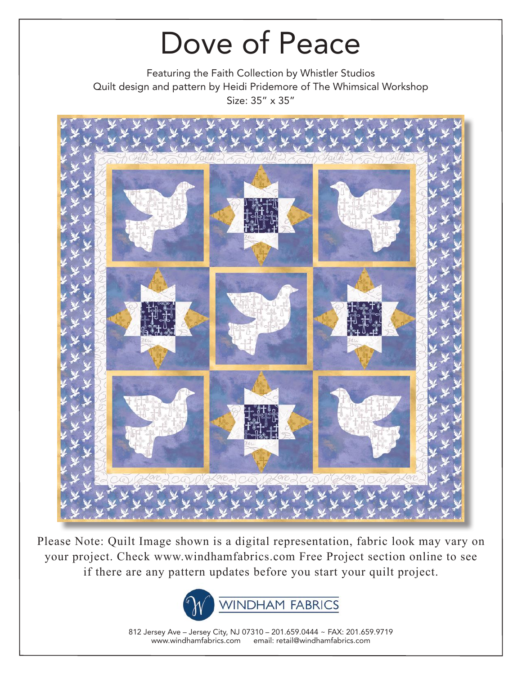Featuring the Faith Collection by Whistler Studios Quilt design and pattern by Heidi Pridemore of The Whimsical Workshop Size: 35" x 35"



Please Note: Quilt Image shown is a digital representation, fabric look may vary on your project. Check www.windhamfabrics.com Free Project section online to see if there are any pattern updates before you start your quilt project.



812 Jersey Ave – Jersey City, NJ 07310 – 201.659.0444 ~ FAX: 201.659.9719 www.windhamfabrics.com email: retail@windhamfabrics.com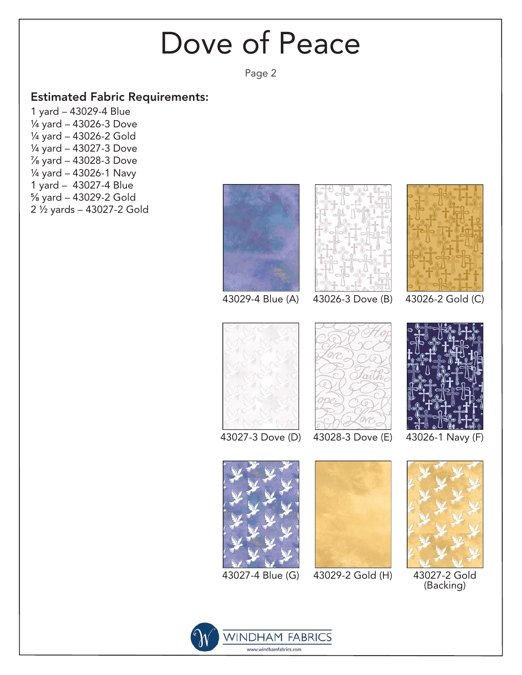Page 2

#### Estimated Fabric Requirements:

1 yard – 43029-4 Blue ¼ yard – 43026-3 Dove ¼ yard – 43026-2 Gold ¼ yard – 43027-3 Dove ⅞ yard – 43028-3 Dove ¼ yard – 43026-1 Navy 1 yard – 43027-4 Blue ⅝ yard – 43029-2 Gold 2 ½ yards – 43027-2 Gold







43029-4 Blue (A) 43026-3 Dove (B) 43026-2 Gold (C)



43027-3 Dove (D)





43026-1 Navy (F)



43027-4 Blue (G)



43029-2 Gold (H)



43027-2 Gold (Backing)

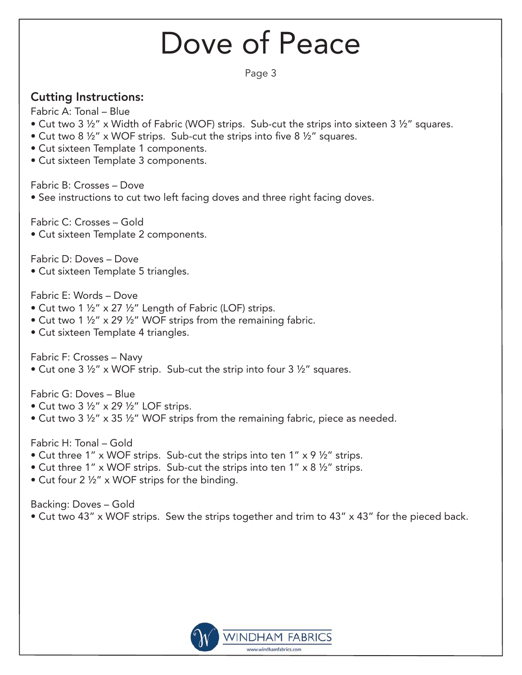Page 3

### Cutting Instructions:

Fabric A: Tonal – Blue

- Cut two 3 ½" x Width of Fabric (WOF) strips. Sub-cut the strips into sixteen 3 ½" squares.
- Cut two 8  $\frac{1}{2}$ " x WOF strips. Sub-cut the strips into five 8  $\frac{1}{2}$ " squares.
- Cut sixteen Template 1 components.
- Cut sixteen Template 3 components.

Fabric B: Crosses – Dove

• See instructions to cut two left facing doves and three right facing doves.

Fabric C: Crosses – Gold

• Cut sixteen Template 2 components.

Fabric D: Doves – Dove

• Cut sixteen Template 5 triangles.

Fabric E: Words – Dove

- Cut two 1 ½" x 27 ½" Length of Fabric (LOF) strips.
- Cut two 1 1/2" x 29 1/2" WOF strips from the remaining fabric.
- Cut sixteen Template 4 triangles.

Fabric F: Crosses – Navy

• Cut one 3 ½" x WOF strip. Sub-cut the strip into four 3 ½" squares.

Fabric G: Doves – Blue

- Cut two 3  $\frac{1}{2}$ " x 29  $\frac{1}{2}$ " LOF strips.
- Cut two 3  $\frac{1}{2}$ " x 35  $\frac{1}{2}$ " WOF strips from the remaining fabric, piece as needed.

Fabric H: Tonal – Gold

- Cut three 1" x WOF strips. Sub-cut the strips into ten 1" x 9  $\frac{1}{2}$ " strips.
- Cut three 1" x WOF strips. Sub-cut the strips into ten 1" x 8  $\frac{1}{2}$ " strips.
- Cut four 2 ½" x WOF strips for the binding.

Backing: Doves – Gold

• Cut two 43" x WOF strips. Sew the strips together and trim to 43" x 43" for the pieced back.

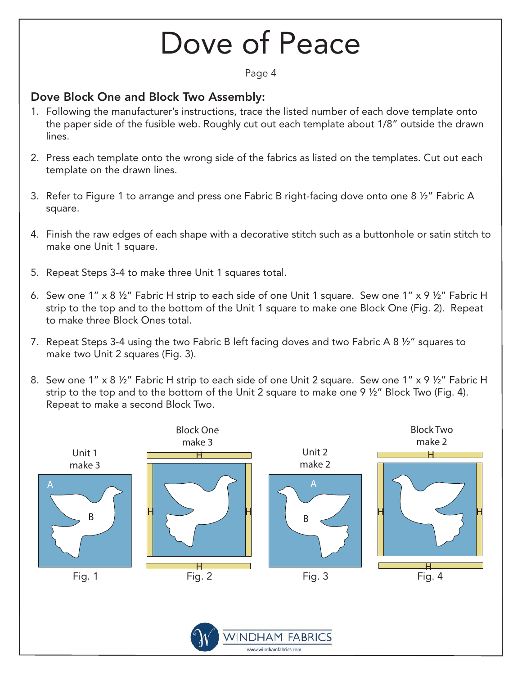Page 4

#### Dove Block One and Block Two Assembly:

- 1. Following the manufacturer's instructions, trace the listed number of each dove template onto the paper side of the fusible web. Roughly cut out each template about 1/8" outside the drawn lines.
- 2. Press each template onto the wrong side of the fabrics as listed on the templates. Cut out each template on the drawn lines.
- 3. Refer to Figure 1 to arrange and press one Fabric B right-facing dove onto one 8 ½" Fabric A square.
- 4. Finish the raw edges of each shape with a decorative stitch such as a buttonhole or satin stitch to make one Unit 1 square.
- 5. Repeat Steps 3-4 to make three Unit 1 squares total.
- 6. Sew one 1" x 8 ½" Fabric H strip to each side of one Unit 1 square. Sew one 1" x 9 ½" Fabric H strip to the top and to the bottom of the Unit 1 square to make one Block One (Fig. 2). Repeat to make three Block Ones total.
- 7. Repeat Steps 3-4 using the two Fabric B left facing doves and two Fabric A 8 ½" squares to make two Unit 2 squares (Fig. 3).
- 8. Sew one 1" x 8 ½" Fabric H strip to each side of one Unit 2 square. Sew one 1" x 9 ½" Fabric H strip to the top and to the bottom of the Unit 2 square to make one 9 ½" Block Two (Fig. 4). Repeat to make a second Block Two.

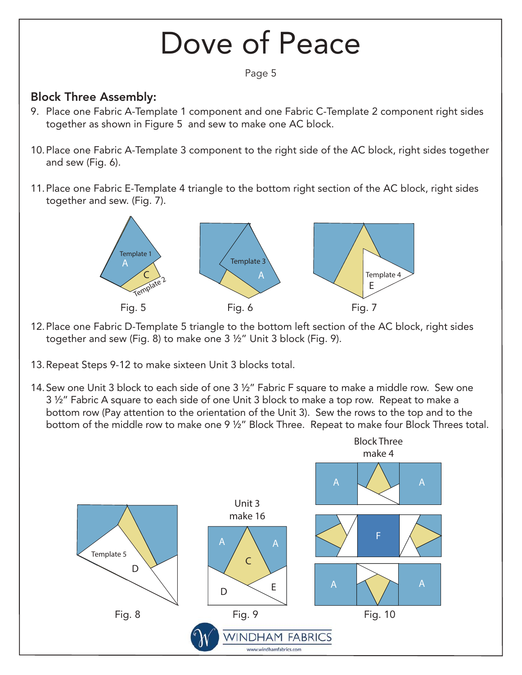### Dove of Peace Page 5 Block Three Assembly: 9. Place one Fabric A-Template 1 component and one Fabric C-Template 2 component right sides together as shown in Figure 5 and sew to make one AC block. 10. Place one Fabric A-Template 3 component to the right side of the AC block, right sides together and sew (Fig. 6). 11. Place one Fabric E-Template 4 triangle to the bottom right section of the AC block, right sides together and sew. (Fig. 7). Template 1 Template 3 A Template<sub>2</sub> A \ \ \ \ \ \ \ \ Template 4 E Fig. 5 Fig. 6 Fig. 7 12. Place one Fabric D-Template 5 triangle to the bottom left section of the AC block, right sides together and sew (Fig. 8) to make one 3 ½" Unit 3 block (Fig. 9). 13. Repeat Steps 9-12 to make sixteen Unit 3 blocks total. 14. Sew one Unit 3 block to each side of one 3 ½" Fabric F square to make a middle row. Sew one 3 ½" Fabric A square to each side of one Unit 3 block to make a top row. Repeat to make a bottom row (Pay attention to the orientation of the Unit 3). Sew the rows to the top and to the bottom of the middle row to make one 9 ½" Block Three. Repeat to make four Block Threes total.Block Three make 4 A  $\bigvee$   $\bigvee$  A Unit 3 make 16 F A  $\bigwedge$  A Template 5 C D  $A \times N$  A  $\mathsf{D}$   $\begin{matrix}E\end{matrix}$ Fig. 8 Fig. 9 Fig. 10 **WINDHAM FABRICS**

www.windhamfabrics.com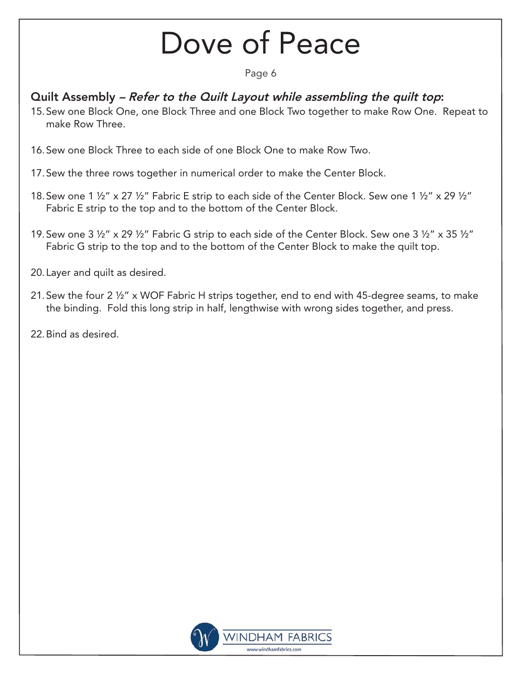Page 6

#### Quilt Assembly – Refer to the Quilt Layout while assembling the quilt top:

- 15. Sew one Block One, one Block Three and one Block Two together to make Row One. Repeat to make Row Three.
- 16. Sew one Block Three to each side of one Block One to make Row Two.
- 17. Sew the three rows together in numerical order to make the Center Block.
- 18. Sew one 1  $\frac{1}{2}$  x 27  $\frac{1}{2}$  Fabric E strip to each side of the Center Block. Sew one 1  $\frac{1}{2}$  x 29  $\frac{1}{2}$ Fabric E strip to the top and to the bottom of the Center Block.
- 19. Sew one 3  $\frac{1}{2}$ " x 29  $\frac{1}{2}$ " Fabric G strip to each side of the Center Block. Sew one 3  $\frac{1}{2}$ " x 35  $\frac{1}{2}$ " Fabric G strip to the top and to the bottom of the Center Block to make the quilt top.
- 20. Layer and quilt as desired.
- 21. Sew the four 2 ½" x WOF Fabric H strips together, end to end with 45-degree seams, to make the binding. Fold this long strip in half, lengthwise with wrong sides together, and press.
- 22. Bind as desired.

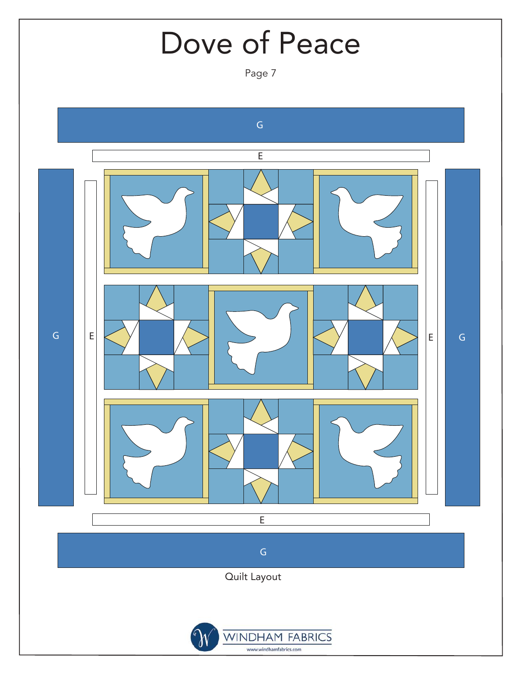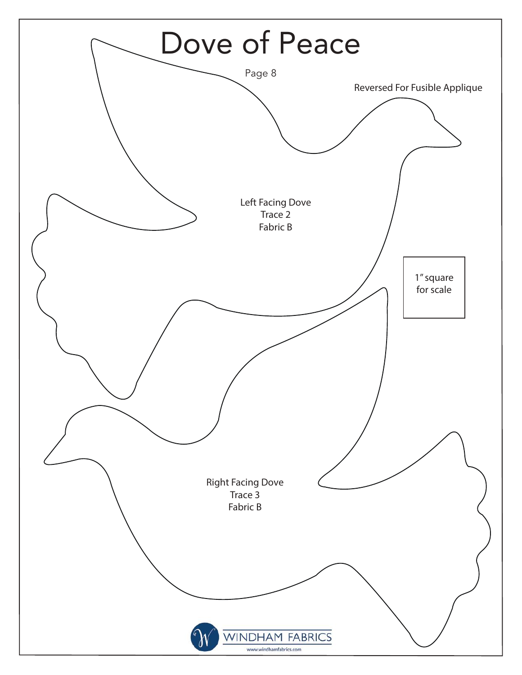